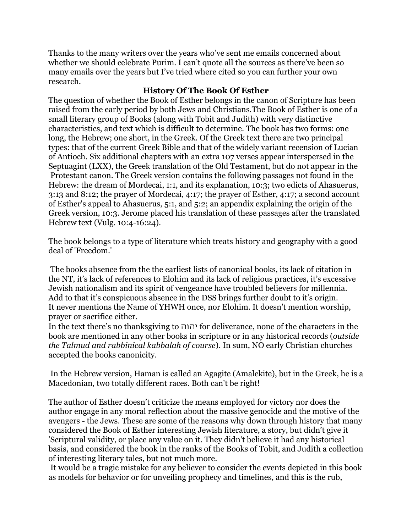Thanks to the many writers over the years who've sent me emails concerned about whether we should celebrate Purim. I can't quote all the sources as there've been so many emails over the years but I've tried where cited so you can further your own research.

### **History Of The Book Of Esther**

The question of whether the Book of Esther belongs in the canon of Scripture has been raised from the early period by both Jews and Christians.The Book of Esther is one of a small literary group of Books (along with Tobit and Judith) with very distinctive characteristics, and text which is difficult to determine. The book has two forms: one long, the Hebrew; one short, in the Greek. Of the Greek text there are two principal types: that of the current Greek Bible and that of the widely variant recension of Lucian of Antioch. Six additional chapters with an extra 107 verses appear interspersed in the Septuagint (LXX), the Greek translation of the Old Testament, but do not appear in the Protestant canon. The Greek version contains the following passages not found in the Hebrew: the dream of Mordecai, 1:1, and its explanation, 10:3; two edicts of Ahasuerus, 3:13 and 8:12; the prayer of Mordecai, 4:17; the prayer of Esther, 4:17; a second account of Esther's appeal to Ahasuerus, 5:1, and 5:2; an appendix explaining the origin of the Greek version, 10:3. Jerome placed his translation of these passages after the translated Hebrew text (Vulg. 10:4-16:24).

The book belongs to a type of literature which treats history and geography with a good deal of 'Freedom.'

 The books absence from the the earliest lists of canonical books, its lack of citation in the NT, it's lack of references to Elohim and its lack of religious practices, it's excessive Jewish nationalism and its spirit of vengeance have troubled believers for millennia. Add to that it's conspicuous absence in the DSS brings further doubt to it's origin. It never mentions the Name of YHWH once, nor Elohim. It doesn't mention worship, prayer or sacrifice either.

In the text there's no thanksgiving to יהוה for deliverance, none of the characters in the book are mentioned in any other books in scripture or in any historical records (*outside the Talmud and rabbinical kabbalah of course*). In sum, NO early Christian churches accepted the books canonicity.

 In the Hebrew version, Haman is called an Agagite (Amalekite), but in the Greek, he is a Macedonian, two totally different races. Both can't be right!

The author of Esther doesn't criticize the means employed for victory nor does the author engage in any moral reflection about the massive genocide and the motive of the avengers - the Jews. These are some of the reasons why down through history that many considered the Book of Esther interesting Jewish literature, a story, but didn't give it 'Scriptural validity, or place any value on it. They didn't believe it had any historical basis, and considered the book in the ranks of the Books of Tobit, and Judith a collection of interesting literary tales, but not much more.

 It would be a tragic mistake for any believer to consider the events depicted in this book as models for behavior or for unveiling prophecy and timelines, and this is the rub,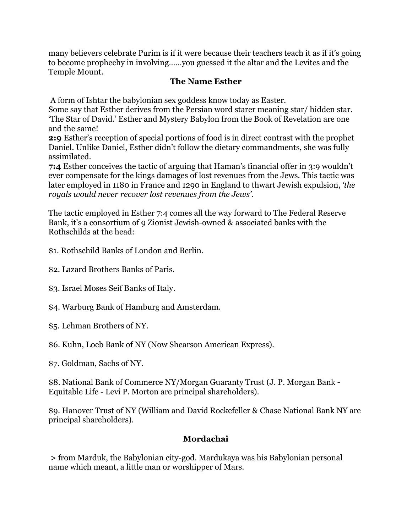many believers celebrate Purim is if it were because their teachers teach it as if it's going to become prophechy in involving……you guessed it the altar and the Levites and the Temple Mount.

### **The Name Esther**

A form of Ishtar the babylonian sex goddess know today as Easter.

Some say that Esther derives from the Persian word starer meaning star/ hidden star. 'The Star of David.' Esther and Mystery Babylon from the Book of Revelation are one and the same!

**2:9** Esther's reception of special portions of food is in direct contrast with the prophet Daniel. Unlike Daniel, Esther didn't follow the dietary commandments, she was fully assimilated.

**7:4** Esther conceives the tactic of arguing that Haman's financial offer in 3:9 wouldn't ever compensate for the kings damages of lost revenues from the Jews. This tactic was later employed in 1180 in France and 1290 in England to thwart Jewish expulsion, *'the royals would never recover lost revenues from the Jews'.* 

The tactic employed in Esther 7:4 comes all the way forward to The Federal Reserve Bank, it's a consortium of 9 Zionist Jewish-owned & associated banks with the Rothschilds at the head:

\$1. Rothschild Banks of London and Berlin.

\$2. Lazard Brothers Banks of Paris.

\$3. Israel Moses Seif Banks of Italy.

\$4. Warburg Bank of Hamburg and Amsterdam.

\$5. Lehman Brothers of NY.

\$6. Kuhn, Loeb Bank of NY (Now Shearson American Express).

\$7. Goldman, Sachs of NY.

\$8. National Bank of Commerce NY/Morgan Guaranty Trust (J. P. Morgan Bank - Equitable Life - Levi P. Morton are principal shareholders).

\$9. Hanover Trust of NY (William and David Rockefeller & Chase National Bank NY are principal shareholders).

### **Mordachai**

 **>** from Marduk, the Babylonian city-god. Mardukaya was his Babylonian personal name which meant, a little man or worshipper of Mars.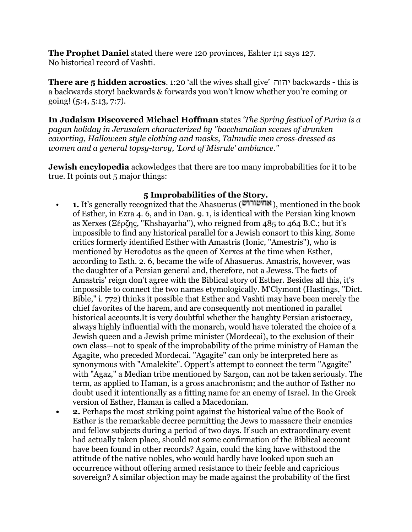**The Prophet Daniel** stated there were 120 provinces, Eshter 1;1 says 127. No historical record of Vashti.

**There are 5 hidden acrostics**. 1:20 'all the wives shall give' יהוה backwards - this is a backwards story! backwards & forwards you won't know whether you're coming or going! (5:4, 5:13, 7:7).

**In Judaism Discovered Michael Hoffman** states *'The Spring festival of Purim is a pagan holiday in Jerusalem characterized by "bacchanalian scenes of drunken cavorting, Halloween style clothing and masks, Talmudic men cross-dressed as women and a general topsy-turvy, 'Lord of Misrule' ambiance."* 

**Jewish encylopedia** ackowledges that there are too many improbabilities for it to be true. It points out 5 major things:

## **5 Improbabilities of the Story.**

- **1.** It's generally recognized that the Ahasuerus (**"אחשורוש**), mentioned in the book of Esther, in Ezra 4. 6, and in Dan. 9. 1, is identical with the Persian king known as Xerxes (Ξέρζης, "Khshayarha"), who reigned from 485 to 464 B.C.; but it's impossible to find any historical parallel for a Jewish consort to this king. Some critics formerly identified Esther with Amastris (Ionic, "Amestris"), who is mentioned by Herodotus as the queen of Xerxes at the time when Esther, according to Esth. 2. 6, became the wife of Ahasuerus. Amastris, however, was the daughter of a Persian general and, therefore, not a Jewess. The facts of Amastris' reign don't agree with the Biblical story of Esther. Besides all this, it's impossible to connect the two names etymologically. M'Clymont (Hastings, "Dict. Bible," i. 772) thinks it possible that Esther and Vashti may have been merely the chief favorites of the harem, and are consequently not mentioned in parallel historical accounts.It is very doubtful whether the haughty Persian aristocracy, always highly influential with the monarch, would have tolerated the choice of a Jewish queen and a Jewish prime minister (Mordecai), to the exclusion of their own class—not to speak of the improbability of the prime ministry of Haman the Agagite, who preceded Mordecai. "Agagite" can only be interpreted here as synonymous with "Amalekite". Oppert's attempt to connect the term "Agagite" with "Agaz," a Median tribe mentioned by Sargon, can not be taken seriously. The term, as applied to Haman, is a gross anachronism; and the author of Esther no doubt used it intentionally as a fitting name for an enemy of Israel. In the Greek version of Esther, Haman is called a Macedonian.
- **2.** Perhaps the most striking point against the historical value of the Book of Esther is the remarkable decree permitting the Jews to massacre their enemies and fellow subjects during a period of two days. If such an extraordinary event had actually taken place, should not some confirmation of the Biblical account have been found in other records? Again, could the king have withstood the attitude of the native nobles, who would hardly have looked upon such an occurrence without offering armed resistance to their feeble and capricious sovereign? A similar objection may be made against the probability of the first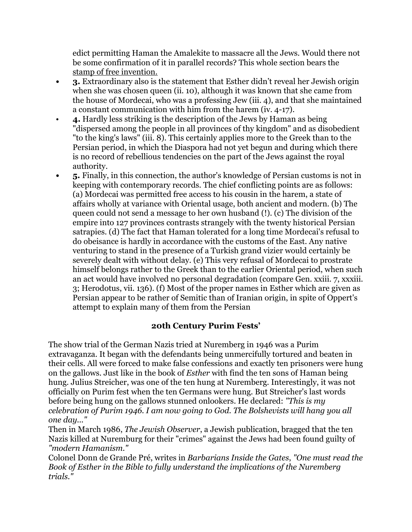edict permitting Haman the Amalekite to massacre all the Jews. Would there not be some confirmation of it in parallel records? This whole section bears the stamp of free invention.

- **3.** Extraordinary also is the statement that Esther didn't reveal her Jewish origin when she was chosen queen (ii. 10), although it was known that she came from the house of Mordecai, who was a professing Jew (iii. 4), and that she maintained a constant communication with him from the harem (iv. 4-17).
- **4.** Hardly less striking is the description of the Jews by Haman as being "dispersed among the people in all provinces of thy kingdom" and as disobedient "to the king's laws" (iii. 8). This certainly applies more to the Greek than to the Persian period, in which the Diaspora had not yet begun and during which there is no record of rebellious tendencies on the part of the Jews against the royal authority.
- 5. Finally, in this connection, the author's knowledge of Persian customs is not in keeping with contemporary records. The chief conflicting points are as follows: (a) Mordecai was permitted free access to his cousin in the harem, a state of affairs wholly at variance with Oriental usage, both ancient and modern. (b) The queen could not send a message to her own husband (!). (c) The division of the empire into 127 provinces contrasts strangely with the twenty historical Persian satrapies. (d) The fact that Haman tolerated for a long time Mordecai's refusal to do obeisance is hardly in accordance with the customs of the East. Any native venturing to stand in the presence of a Turkish grand vizier would certainly be severely dealt with without delay. (e) This very refusal of Mordecai to prostrate himself belongs rather to the Greek than to the earlier Oriental period, when such an act would have involved no personal degradation (compare Gen. xxiii. 7, xxxiii. 3; Herodotus, vii. 136). (f) Most of the proper names in Esther which are given as Persian appear to be rather of Semitic than of Iranian origin, in spite of Oppert's attempt to explain many of them from the Persian

### **20th Century Purim Fests'**

The show trial of the German Nazis tried at Nuremberg in 1946 was a Purim extravaganza. It began with the defendants being unmercifully tortured and beaten in their cells. All were forced to make false confessions and exactly ten prisoners were hung on the gallows. Just like in the book of *Esther* with find the ten sons of Haman being hung. Julius Streicher, was one of the ten hung at Nuremberg. Interestingly, it was not officially on Purim fest when the ten Germans were hung. But Streicher's last words before being hung on the gallows stunned onlookers. He declared: *"This is my celebration of Purim 1946. I am now going to God. The Bolshevists will hang you all one day..."*

Then in March 1986, *The Jewish Observer*, a Jewish publication, bragged that the ten Nazis killed at Nuremburg for their "crimes" against the Jews had been found guilty of *"modern Hamanism."*

Colonel Donn de Grande Pré, writes in *Barbarians Inside the Gates*, *"One must read the Book of Esther in the Bible to fully understand the implications of the Nuremberg trials."*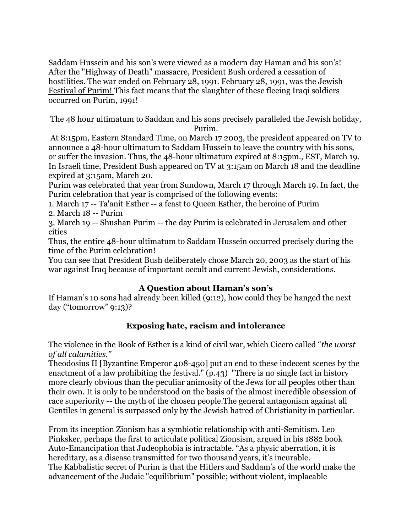Saddam Hussein and his son's were viewed as a modern day Haman and his son's! After the "Highway of Death" massacre, President Bush ordered a cessation of hostilities. The war ended on February 28, 1991. February 28, 1991, was the Jewish Festival of Purim! This fact means that the slaughter of these fleeing Iraqi soldiers occurred on Purim, 1991!

The 48 hour ultimatum to Saddam and his sons precisely paralleled the Jewish holiday, Purim.

 At 8:15pm, Eastern Standard Time, on March 17 2003, the president appeared on TV to announce a 48-hour ultimatum to Saddam Hussein to leave the country with his sons, or suffer the invasion. Thus, the 48-hour ultimatum expired at 8:15pm., EST, March 19. In Israeli time, President Bush appeared on TV at 3:15am on March 18 and the deadline expired at 3:15am, March 20.

Purim was celebrated that year from Sundown, March 17 through March 19. In fact, the Purim celebration that year is comprised of the following events:

1. March 17 -- Ta'anit Esther -- a feast to Queen Esther, the heroine of Purim 2. March 18 -- Purim

3. March 19 -- Shushan Purim -- the day Purim is celebrated in Jerusalem and other cities

Thus, the entire 48-hour ultimatum to Saddam Hussein occurred precisely during the time of the Purim celebration!

You can see that President Bush deliberately chose March 20, 2003 as the start of his war against Iraq because of important occult and current Jewish, considerations.

## **A Question about Haman's son's**

If Haman's 10 sons had already been killed (9:12), how could they be hanged the next day ("tomorrow" 9:13)?

## **Exposing hate, racism and intolerance**

The violence in the Book of Esther is a kind of civil war, which Cicero called "*the worst of all calamities."* 

Theodosius II [Byzantine Emperor 408-450] put an end to these indecent scenes by the enactment of a law prohibiting the festival." (p.43) "There is no single fact in history more clearly obvious than the peculiar animosity of the Jews for all peoples other than their own. It is only to be understood on the basis of the almost incredible obsession of race superiority -- the myth of the chosen people.The general antagonism against all Gentiles in general is surpassed only by the Jewish hatred of Christianity in particular.

From its inception Zionism has a symbiotic relationship with anti-Semitism. Leo Pinksker, perhaps the first to articulate political Zionsism, argued in his 1882 book Auto-Emancipation that Judeophobia is intractable. "As a physic aberration, it is hereditary, as a disease transmitted for two thousand years, it's incurable. The Kabbalistic secret of Purim is that the Hitlers and Saddam's of the world make the advancement of the Judaic "equilibrium" possible; without violent, implacable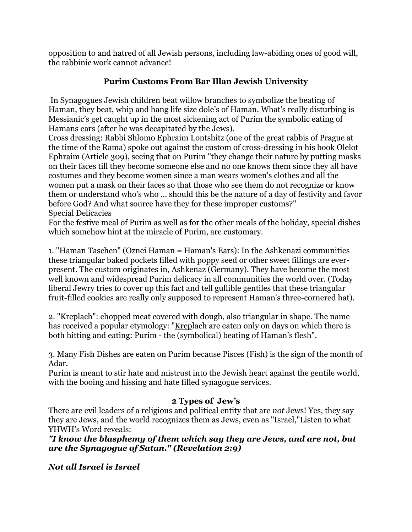opposition to and hatred of all Jewish persons, including law-abiding ones of good will, the rabbinic work cannot advance!

# **Purim Customs From Bar Illan Jewish University**

 In Synagogues Jewish children beat willow branches to symbolize the beating of Haman, they beat, whip and hang life size dole's of Haman. What's really disturbing is Messianic's get caught up in the most sickening act of Purim the symbolic eating of Hamans ears (after he was decapitated by the Jews).

Cross dressing: Rabbi Shlomo Ephraim Lontshitz (one of the great rabbis of Prague at the time of the Rama) spoke out against the custom of cross-dressing in his book Olelot Ephraim (Article 309), seeing that on Purim "they change their nature by putting masks on their faces till they become someone else and no one knows them since they all have costumes and they become women since a man wears women's clothes and all the women put a mask on their faces so that those who see them do not recognize or know them or understand who's who ... should this be the nature of a day of festivity and favor before God? And what source have they for these improper customs?" Special Delicacies

For the festive meal of Purim as well as for the other meals of the holiday, special dishes which somehow hint at the miracle of Purim, are customary.

1. "Haman Taschen" (Oznei Haman = Haman's Ears): In the Ashkenazi communities these triangular baked pockets filled with poppy seed or other sweet fillings are everpresent. The custom originates in, Ashkenaz (Germany). They have become the most well known and widespread Purim delicacy in all communities the world over. (Today liberal Jewry tries to cover up this fact and tell gullible gentiles that these triangular fruit-filled cookies are really only supposed to represent Haman's three-cornered hat).

2. "Kreplach": chopped meat covered with dough, also triangular in shape. The name has received a popular etymology: "Kreplach are eaten only on days on which there is both hitting and eating: Purim - the (symbolical) beating of Haman's flesh".

3. Many Fish Dishes are eaten on Purim because Pisces (Fish) is the sign of the month of Adar.

Purim is meant to stir hate and mistrust into the Jewish heart against the gentile world, with the booing and hissing and hate filled synagogue services.

## **2 Types of Jew's**

There are evil leaders of a religious and political entity that are *not* Jews! Yes, they say they are Jews, and the world recognizes them as Jews, even as "Israel,"Listen to what YHWH's Word reveals:

*"I know the blasphemy of them which say they are Jews, and are not, but are the Synagogue of Satan." (Revelation 2:9)* 

*Not all Israel is Israel*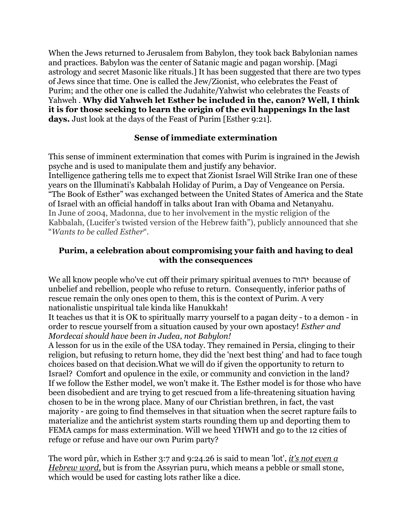When the Jews returned to Jerusalem from Babylon, they took back Babylonian names and practices. Babylon was the center of Satanic magic and pagan worship. [Magi astrology and secret Masonic like rituals.] It has been suggested that there are two types of Jews since that time. One is called the Jew/Zionist, who celebrates the Feast of Purim; and the other one is called the Judahite/Yahwist who celebrates the Feasts of Yahweh . **Why did Yahweh let Esther be included in the, canon? Well, I think it is for those seeking to learn the origin of the evil happenings In the last days.** Just look at the days of the Feast of Purim [Esther 9:21].

### **Sense of immediate extermination**

This sense of imminent extermination that comes with Purim is ingrained in the Jewish psyche and is used to manipulate them and justify any behavior. Intelligence gathering tells me to expect that Zionist Israel Will Strike Iran one of these years on the Illuminati's Kabbalah Holiday of Purim, a Day of Vengeance on Persia. "The Book of Esther" was exchanged between the United States of America and the State of Israel with an official handoff in talks about Iran with Obama and Netanyahu. In June of 2004, Madonna, due to her involvement in the mystic religion of the Kabbalah, (Lucifer's twisted version of the Hebrew faith"), publicly announced that she "*Wants to be called Esther*".

#### **Purim, a celebration about compromising your faith and having to deal with the consequences**

We all know people who've cut off their primary spiritual avenues to יהוה because of unbelief and rebellion, people who refuse to return. Consequently, inferior paths of rescue remain the only ones open to them, this is the context of Purim. A very nationalistic unspiritual tale kinda like Hanukkah!

It teaches us that it is OK to spiritually marry yourself to a pagan deity - to a demon - in order to rescue yourself from a situation caused by your own apostacy! *Esther and Mordecai should have been in Judea, not Babylon!* 

A lesson for us in the exile of the USA today. They remained in Persia, clinging to their religion, but refusing to return home, they did the 'next best thing' and had to face tough choices based on that decision.What we will do if given the opportunity to return to Israel? Comfort and opulence in the exile, or community and conviction in the land? If we follow the Esther model, we won't make it. The Esther model is for those who have been disobedient and are trying to get rescued from a life-threatening situation having chosen to be in the wrong place. Many of our Christian brethren, in fact, the vast majority - are going to find themselves in that situation when the secret rapture fails to materialize and the antichrist system starts rounding them up and deporting them to FEMA camps for mass extermination. Will we heed YHWH and go to the 12 cities of refuge or refuse and have our own Purim party?

The word pûr, which in Esther 3:7 and 9:24.26 is said to mean 'lot', *it's not even a Hebrew word,* but is from the Assyrian puru, which means a pebble or small stone, which would be used for casting lots rather like a dice.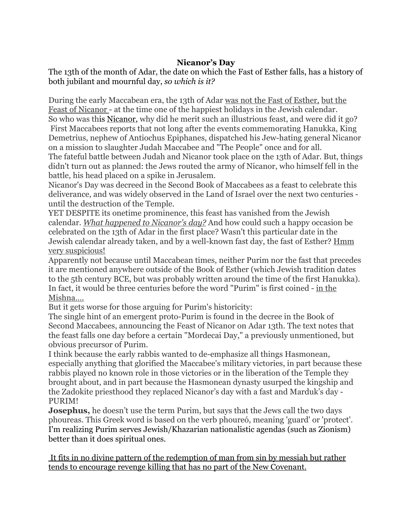### **Nicanor's Day**

The 13th of the month of Adar, the date on which the Fast of Esther falls, has a history of both jubilant and mournful day, *so which is it?*

During the early Maccabean era, the 13th of Adar was not the Fast of Esther, but the Feast of Nicanor - at the time one of the happiest holidays in the Jewish calendar. So who was this Nicanor, why did he merit such an illustrious feast, and were did it go? First Maccabees reports that not long after the events commemorating Hanukka, King Demetrius, nephew of Antiochus Epiphanes, dispatched his Jew-hating general Nicanor on a mission to slaughter Judah Maccabee and "The People" once and for all.

The fateful battle between Judah and Nicanor took place on the 13th of Adar. But, things didn't turn out as planned: the Jews routed the army of Nicanor, who himself fell in the battle, his head placed on a spike in Jerusalem.

Nicanor's Day was decreed in the Second Book of Maccabees as a feast to celebrate this deliverance, and was widely observed in the Land of Israel over the next two centuries until the destruction of the Temple.

YET DESPITE its onetime prominence, this feast has vanished from the Jewish calendar. *What happened to Nicanor's day?* And how could such a happy occasion be celebrated on the 13th of Adar in the first place? Wasn't this particular date in the Jewish calendar already taken, and by a well-known fast day, the fast of Esther? Hmm very suspicious!

Apparently not because until Maccabean times, neither Purim nor the fast that precedes it are mentioned anywhere outside of the Book of Esther (which Jewish tradition dates to the 5th century BCE, but was probably written around the time of the first Hanukka). In fact, it would be three centuries before the word "Purim" is first coined - in the Mishna….

But it gets worse for those arguing for Purim's historicity:

The single hint of an emergent proto-Purim is found in the decree in the Book of Second Maccabees, announcing the Feast of Nicanor on Adar 13th. The text notes that the feast falls one day before a certain "Mordecai Day," a previously unmentioned, but obvious precursor of Purim.

I think because the early rabbis wanted to de-emphasize all things Hasmonean, especially anything that glorified the Maccabee's military victories, in part because these rabbis played no known role in those victories or in the liberation of the Temple they brought about, and in part because the Hasmonean dynasty usurped the kingship and the Zadokite priesthood they replaced Nicanor's day with a fast and Marduk's day - PURIM!

**Josephus,** he doesn't use the term Purim, but says that the Jews call the two days phoureas. This Greek word is based on the verb phoureó, meaning 'guard' or 'protect'. I'm realizing Purim serves Jewish/Khazarian nationalistic agendas (such as Zionism) better than it does spiritual ones.

 It fits in no divine pattern of the redemption of man from sin by messiah but rather tends to encourage revenge killing that has no part of the New Covenant.